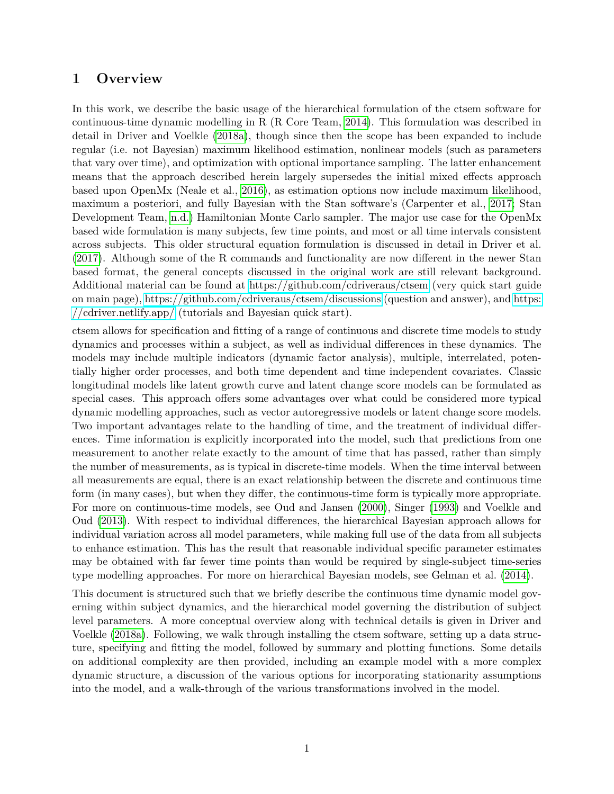## **1 Overview**

In this work, we describe the basic usage of the hierarchical formulation of the ctsem software for continuous-time dynamic modelling in R (R Core Team, [2014\)](#page-21-0). This formulation was described in detail in Driver and Voelkle [\(2018a\)](#page-20-0), though since then the scope has been expanded to include regular (i.e. not Bayesian) maximum likelihood estimation, nonlinear models (such as parameters that vary over time), and optimization with optional importance sampling. The latter enhancement means that the approach described herein largely supersedes the initial mixed effects approach based upon OpenMx (Neale et al., [2016\)](#page-20-1), as estimation options now include maximum likelihood, maximum a posteriori, and fully Bayesian with the Stan software's (Carpenter et al., [2017;](#page-20-2) Stan Development Team, [n.d.\)](#page-21-1) Hamiltonian Monte Carlo sampler. The major use case for the OpenMx based wide formulation is many subjects, few time points, and most or all time intervals consistent across subjects. This older structural equation formulation is discussed in detail in Driver et al. [\(2017\)](#page-20-3). Although some of the R commands and functionality are now different in the newer Stan based format, the general concepts discussed in the original work are still relevant background. Additional material can be found at<https://github.com/cdriveraus/ctsem> (very quick start guide on main page),<https://github.com/cdriveraus/ctsem/discussions> (question and answer), and [https:](https://cdriver.netlify.app/) [//cdriver.netlify.app/](https://cdriver.netlify.app/) (tutorials and Bayesian quick start).

ctsem allows for specification and fitting of a range of continuous and discrete time models to study dynamics and processes within a subject, as well as individual differences in these dynamics. The models may include multiple indicators (dynamic factor analysis), multiple, interrelated, potentially higher order processes, and both time dependent and time independent covariates. Classic longitudinal models like latent growth curve and latent change score models can be formulated as special cases. This approach offers some advantages over what could be considered more typical dynamic modelling approaches, such as vector autoregressive models or latent change score models. Two important advantages relate to the handling of time, and the treatment of individual differences. Time information is explicitly incorporated into the model, such that predictions from one measurement to another relate exactly to the amount of time that has passed, rather than simply the number of measurements, as is typical in discrete-time models. When the time interval between all measurements are equal, there is an exact relationship between the discrete and continuous time form (in many cases), but when they differ, the continuous-time form is typically more appropriate. For more on continuous-time models, see Oud and Jansen [\(2000\)](#page-21-2), Singer [\(1993\)](#page-21-3) and Voelkle and Oud [\(2013\)](#page-21-4). With respect to individual differences, the hierarchical Bayesian approach allows for individual variation across all model parameters, while making full use of the data from all subjects to enhance estimation. This has the result that reasonable individual specific parameter estimates may be obtained with far fewer time points than would be required by single-subject time-series type modelling approaches. For more on hierarchical Bayesian models, see Gelman et al. [\(2014\)](#page-20-4).

This document is structured such that we briefly describe the continuous time dynamic model governing within subject dynamics, and the hierarchical model governing the distribution of subject level parameters. A more conceptual overview along with technical details is given in Driver and Voelkle [\(2018a\)](#page-20-0). Following, we walk through installing the ctsem software, setting up a data structure, specifying and fitting the model, followed by summary and plotting functions. Some details on additional complexity are then provided, including an example model with a more complex dynamic structure, a discussion of the various options for incorporating stationarity assumptions into the model, and a walk-through of the various transformations involved in the model.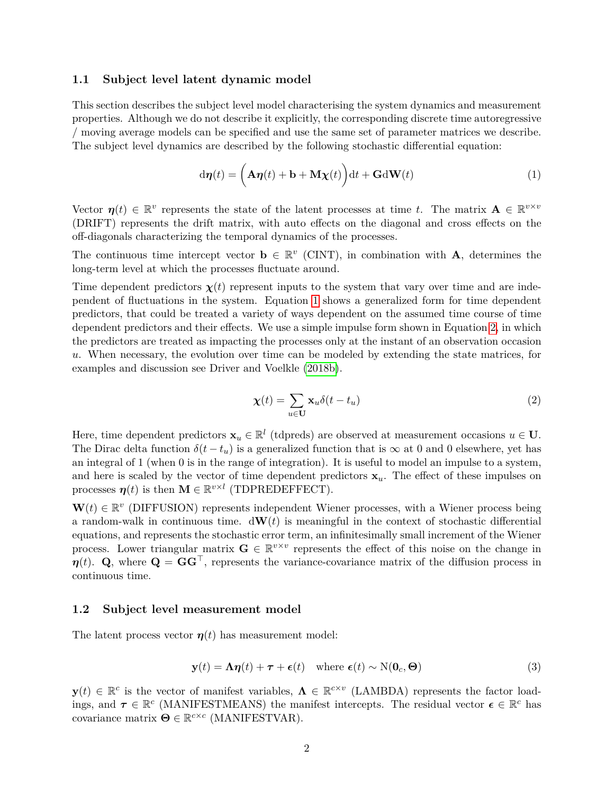#### **1.1 Subject level latent dynamic model**

This section describes the subject level model characterising the system dynamics and measurement properties. Although we do not describe it explicitly, the corresponding discrete time autoregressive  $/$  moving average models can be specified and use the same set of parameter matrices we describe. The subject level dynamics are described by the following stochastic differential equation:

<span id="page-1-0"></span>
$$
d\boldsymbol{\eta}(t) = \left(\mathbf{A}\boldsymbol{\eta}(t) + \mathbf{b} + \mathbf{M}\boldsymbol{\chi}(t)\right)dt + \mathbf{G}d\mathbf{W}(t)
$$
\n(1)

Vector  $\eta(t) \in \mathbb{R}^v$  represents the state of the latent processes at time *t*. The matrix  $\mathbf{A} \in \mathbb{R}^{v \times v}$ (DRIFT) represents the drift matrix, with auto effects on the diagonal and cross effects on the off-diagonals characterizing the temporal dynamics of the processes.

The continuous time intercept vector  $\mathbf{b} \in \mathbb{R}^v$  (CINT), in combination with **A**, determines the long-term level at which the processes fluctuate around.

Time dependent predictors  $\chi(t)$  represent inputs to the system that vary over time and are inde-pendent of fluctuations in the system. Equation [1](#page-1-0) shows a generalized form for time dependent predictors, that could be treated a variety of ways dependent on the assumed time course of time dependent predictors and their effects. We use a simple impulse form shown in Equation [2,](#page-1-1) in which the predictors are treated as impacting the processes only at the instant of an observation occasion *u*. When necessary, the evolution over time can be modeled by extending the state matrices, for examples and discussion see Driver and Voelkle [\(2018b\)](#page-20-5).

<span id="page-1-1"></span>
$$
\chi(t) = \sum_{u \in \mathbf{U}} \mathbf{x}_u \delta(t - t_u) \tag{2}
$$

Here, time dependent predictors  $\mathbf{x}_u \in \mathbb{R}^l$  (tdpreds) are observed at measurement occasions  $u \in \mathbf{U}$ . The Dirac delta function  $\delta(t - t_u)$  is a generalized function that is  $\infty$  at 0 and 0 elsewhere, yet has an integral of 1 (when 0 is in the range of integration). It is useful to model an impulse to a system, and here is scaled by the vector of time dependent predictors  $x_u$ . The effect of these impulses on processes  $\boldsymbol{\eta}(t)$  is then  $\mathbf{M} \in \mathbb{R}^{v \times l}$  (TDPREDEFFECT).

 $\mathbf{W}(t) \in \mathbb{R}^v$  (DIFFUSION) represents independent Wiener processes, with a Wiener process being a random-walk in continuous time.  $d\mathbf{W}(t)$  is meaningful in the context of stochastic differential equations, and represents the stochastic error term, an infinitesimally small increment of the Wiener process. Lower triangular matrix  $\mathbf{G} \in \mathbb{R}^{v \times v}$  represents the effect of this noise on the change in  $\eta(t)$ . **Q**, where  $\mathbf{Q} = \mathbf{G} \mathbf{G}^\top$ , represents the variance-covariance matrix of the diffusion process in continuous time.

#### **1.2 Subject level measurement model**

The latent process vector  $\eta(t)$  has measurement model:

$$
\mathbf{y}(t) = \mathbf{\Lambda}\boldsymbol{\eta}(t) + \boldsymbol{\tau} + \boldsymbol{\epsilon}(t) \quad \text{where } \boldsymbol{\epsilon}(t) \sim \mathbf{N}(\mathbf{0}_c, \boldsymbol{\Theta}) \tag{3}
$$

 $\mathbf{y}(t) \in \mathbb{R}^c$  is the vector of manifest variables,  $\mathbf{\Lambda} \in \mathbb{R}^{c \times v}$  (LAMBDA) represents the factor loadings, and  $\tau \in \mathbb{R}^c$  (MANIFESTMEANS) the manifest intercepts. The residual vector  $\epsilon \in \mathbb{R}^c$  has  $\overline{\mathbf{c}}$  covariance matrix  $\mathbf{\Theta} \in \mathbb{R}^{c \times c}$  (MANIFESTVAR).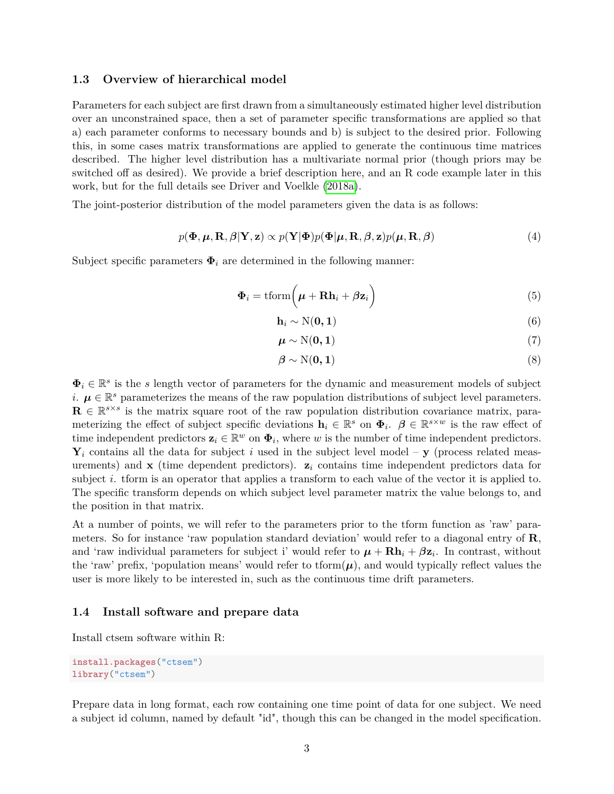#### **1.3 Overview of hierarchical model**

Parameters for each subject are first drawn from a simultaneously estimated higher level distribution over an unconstrained space, then a set of parameter specific transformations are applied so that a) each parameter conforms to necessary bounds and b) is subject to the desired prior. Following this, in some cases matrix transformations are applied to generate the continuous time matrices described. The higher level distribution has a multivariate normal prior (though priors may be switched off as desired). We provide a brief description here, and an R code example later in this work, but for the full details see Driver and Voelkle [\(2018a\)](#page-20-0).

The joint-posterior distribution of the model parameters given the data is as follows:

$$
p(\mathbf{\Phi}, \boldsymbol{\mu}, \mathbf{R}, \boldsymbol{\beta} | \mathbf{Y}, \mathbf{z}) \propto p(\mathbf{Y} | \mathbf{\Phi}) p(\mathbf{\Phi} | \boldsymbol{\mu}, \mathbf{R}, \boldsymbol{\beta}, \mathbf{z}) p(\boldsymbol{\mu}, \mathbf{R}, \boldsymbol{\beta})
$$
(4)

Subject specific parameters  $\Phi_i$  are determined in the following manner:

$$
\mathbf{\Phi}_i = \text{tform}\Big(\boldsymbol{\mu} + \mathbf{R}\mathbf{h}_i + \boldsymbol{\beta}\mathbf{z}_i\Big) \tag{5}
$$

$$
\mathbf{h}_i \sim \mathcal{N}(\mathbf{0}, \mathbf{1}) \tag{6}
$$

$$
\boldsymbol{\mu} \sim \mathrm{N}(\mathbf{0}, \mathbf{1}) \tag{7}
$$

$$
\beta \sim \mathcal{N}(\mathbf{0}, \mathbf{1})\tag{8}
$$

 $\Phi_i \in \mathbb{R}^s$  is the *s* length vector of parameters for the dynamic and measurement models of subject *i*.  $\mu \in \mathbb{R}^s$  parameterizes the means of the raw population distributions of subject level parameters.  $\mathbf{R} \in \mathbb{R}^{s \times s}$  is the matrix square root of the raw population distribution covariance matrix, parameterizing the effect of subject specific deviations  $\mathbf{h}_i \in \mathbb{R}^s$  on  $\mathbf{\Phi}_i$ .  $\boldsymbol{\beta} \in \mathbb{R}^{s \times w}$  is the raw effect of time independent predictors  $\mathbf{z}_i \in \mathbb{R}^w$  on  $\mathbf{\Phi}_i$ , where *w* is the number of time independent predictors.  $\mathbf{Y}_i$  contains all the data for subject *i* used in the subject level model –  $\mathbf{y}$  (process related measurements) and **x** (time dependent predictors). **z***i* contains time independent predictors data for subject *i*. tform is an operator that applies a transform to each value of the vector it is applied to. The specific transform depends on which subject level parameter matrix the value belongs to, and the position in that matrix.

At a number of points, we will refer to the parameters prior to the tform function as 'raw' parameters. So for instance 'raw population standard deviation' would refer to a diagonal entry of  $\mathbf{R}$ , and 'raw individual parameters for subject i' would refer to  $\mu + \mathbf{R}\mathbf{h}_i + \beta \mathbf{z}_i$ . In contrast, without the 'raw' prefix, 'population means' would refer to tform $(\mu)$ , and would typically reflect values the user is more likely to be interested in, such as the continuous time drift parameters.

#### **1.4 Install software and prepare data**

Install ctsem software within R:

```
install.packages("ctsem")
library("ctsem")
```
Prepare data in long format, each row containing one time point of data for one subject. We need a subject id column, named by default "id", though this can be changed in the model specification.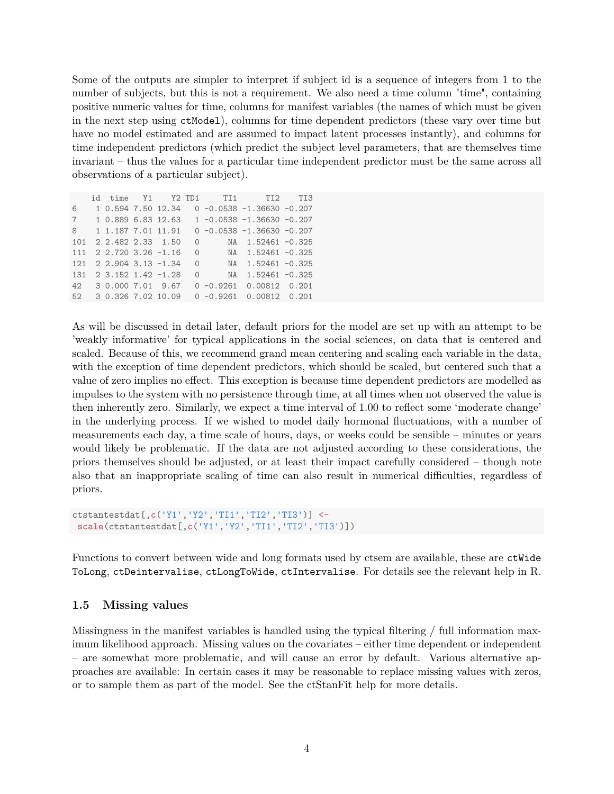Some of the outputs are simpler to interpret if subject id is a sequence of integers from 1 to the number of subjects, but this is not a requirement. We also need a time column "time", containing positive numeric values for time, columns for manifest variables (the names of which must be given in the next step using ctModel), columns for time dependent predictors (these vary over time but have no model estimated and are assumed to impact latent processes instantly), and columns for time independent predictors (which predict the subject level parameters, that are themselves time invariant – thus the values for a particular time independent predictor must be the same across all observations of a particular subject).

|              |                       |                       |          | id time Y1 Y2 TD1 TI1 TI2 TI3                             |  |
|--------------|-----------------------|-----------------------|----------|-----------------------------------------------------------|--|
| 6            |                       |                       |          | $1\,0.594\,7.50\,12.34\quad0\,-0.0538\,-1.36630\,-0.207$  |  |
| $\mathbf{7}$ |                       |                       |          | $1\,0.889\,6.83\,12.63\quad1\,-0.0538\,-1.36630\,-0.207$  |  |
| 8            |                       |                       |          | $1\ 1.187\ 7.01\ 11.91\quad 0\ -0.0538\ -1.36630\ -0.207$ |  |
| 101          | 2 2.482 2.33 1.50     |                       |          | $0$ NA 1.52461 -0.325                                     |  |
| 111          |                       |                       |          | 2 2.720 3.26 -1.16 0 NA 1.52461 -0.325                    |  |
| 121          | $22.904$ 3.13 $-1.34$ |                       |          | $0$ NA 1.52461 -0.325                                     |  |
| 131          |                       | 2 3.152 1.42 -1.28    | $\Omega$ | NA 1.52461 -0.325                                         |  |
|              |                       | 42 3 0.000 7.01 9.67  |          | $0 -0.9261$ $0.00812$ $0.201$                             |  |
|              |                       | 52 3 0.326 7.02 10.09 |          | $0 -0.9261$ $0.00812$ $0.201$                             |  |

As will be discussed in detail later, default priors for the model are set up with an attempt to be weakly informative' for typical applications in the social sciences, on data that is centered and scaled. Because of this, we recommend grand mean centering and scaling each variable in the data, with the exception of time dependent predictors, which should be scaled, but centered such that a value of zero implies no effect. This exception is because time dependent predictors are modelled as impulses to the system with no persistence through time, at all times when not observed the value is then inherently zero. Similarly, we expect a time interval of 1.00 to reflect some 'moderate change' in the underlying process. If we wished to model daily hormonal fluctuations, with a number of measurements each day, a time scale of hours, days, or weeks could be sensible  $-$  minutes or years would likely be problematic. If the data are not adjusted according to these considerations, the priors themselves should be adjusted, or at least their impact carefully considered  $-$  though note also that an inappropriate scaling of time can also result in numerical difficulties, regardless of priors.

```
ctstantestdat[,c('Y1','Y2','TI1','TI2','TI3')] <-
scale(ctstantestdat[,c('Y1','Y2','TI1','TI2','TI3')])
```
Functions to convert between wide and long formats used by ctsem are available, these are ctWide ToLong, ctDeintervalise, ctLongToWide, ctIntervalise. For details see the relevant help in R.

#### **1.5 Missing values**

Missingness in the manifest variables is handled using the typical filtering  $/$  full information maximum likelihood approach. Missing values on the covariates – either time dependent or independent  $\sim$  are somewhat more problematic, and will cause an error by default. Various alternative approaches are available: In certain cases it may be reasonable to replace missing values with zeros, or to sample them as part of the model. See the ctStanFit help for more details.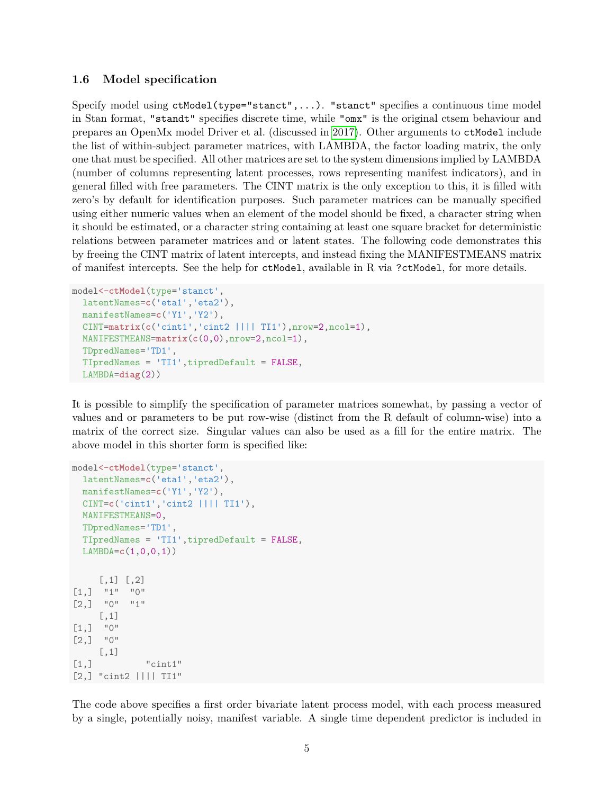#### 1.6 Model specification

Specify model using  $ctModel(type='start",...)$ . "stanct" specifies a continuous time model in Stan format, "standt" specifies discrete time, while "omx" is the original ctsem behaviour and prepares an OpenMx model Driver et al. (discussed in [2017\)](#page-20-3). Other arguments to ctModel include the list of within-subject parameter matrices, with LAMBDA, the factor loading matrix, the only one that must be specified. All other matrices are set to the system dimensions implied by LAMBDA (number of columns representing latent processes, rows representing manifest indicators), and in general filled with free parameters. The CINT matrix is the only exception to this, it is filled with zero's by default for identification purposes. Such parameter matrices can be manually specified using either numeric values when an element of the model should be fixed, a character string when it should be estimated, or a character string containing at least one square bracket for deterministic relations between parameter matrices and or latent states. The following code demonstrates this by freeing the CINT matrix of latent intercepts, and instead fixing the MANIFESTMEANS matrix of manifest intercepts. See the help for ctModel, available in R via ?ctModel, for more details.

```
model<-ctModel(type='stanct',
 latentNames=c('eta1','eta2'),
  manifestNames=c('Y1','Y2'),
  CINT=matrix(c('cint1','cint2 |||| TI1'),nrow=2,ncol=1),
  MANIFESTMEANS=matrix(c(0,0),nrow=2,ncol=1),
  TDpredNames='TD1',
  TIpredNames = 'TI1',tipredDefault = FALSE,
  LAMBDA=diag(2))
```
It is possible to simplify the specification of parameter matrices somewhat, by passing a vector of values and or parameters to be put row-wise (distinct from the R default of column-wise) into a matrix of the correct size. Singular values can also be used as a fill for the entire matrix. The above model in this shorter form is specified like:

```
model<-ctModel(type='stanct',
 latentNames=c('eta1','eta2'),
  manifestNames=c('Y1','Y2'),
  CINT=c('cint1','cint2 |||| TI1'),
 MANIFESTMEANS=0,
  TDpredNames='TD1',
  TIpredNames = 'TI1',tipredDefault = FALSE,
 LAMBDA=c(1,0,0,1))
     [,1] [,2][1,] "1" "0"
[2,] "0" "1"
     [,1]
[1,] "0"
[2,] "0"
     [,1]
[1,] "cint1"
[2,] "cint2 |||| TI1"
```
The code above specifies a first order bivariate latent process model, with each process measured by a single, potentially noisy, manifest variable. A single time dependent predictor is included in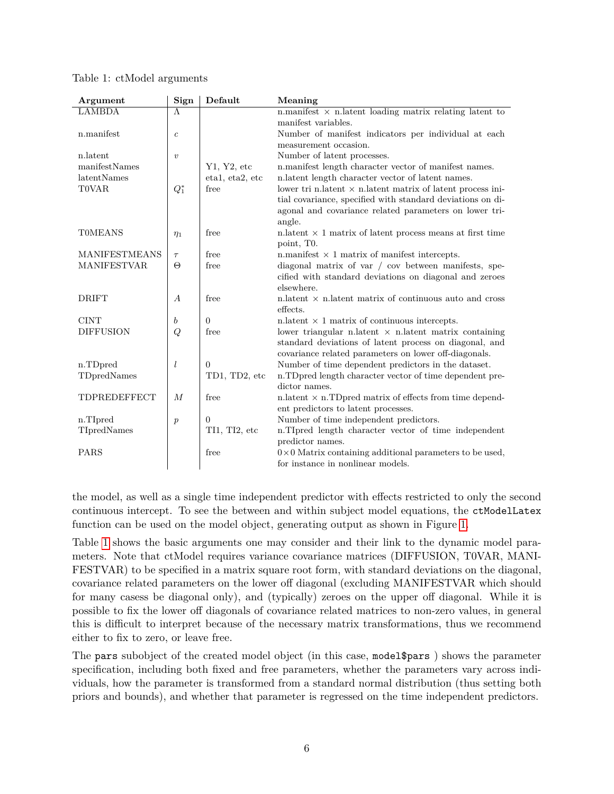| Argument             | Sign               | Default         | Meaning                                                                                                      |  |  |  |  |
|----------------------|--------------------|-----------------|--------------------------------------------------------------------------------------------------------------|--|--|--|--|
| <b>LAMBDA</b>        | Λ                  |                 | n.manifest $\times$ n.latent loading matrix relating latent to                                               |  |  |  |  |
|                      |                    |                 | manifest variables.                                                                                          |  |  |  |  |
| n.manifest           | $\boldsymbol{c}$   |                 | Number of manifest indicators per individual at each                                                         |  |  |  |  |
|                      |                    |                 | measurement occasion.                                                                                        |  |  |  |  |
| n.latent             | $\boldsymbol{v}$   |                 | Number of latent processes.                                                                                  |  |  |  |  |
| manifestNames        |                    | Y1, Y2, etc     | n.manifest length character vector of manifest names.                                                        |  |  |  |  |
| latentNames          |                    | eta1, eta2, etc | n.latent length character vector of latent names.                                                            |  |  |  |  |
| <b>TOVAR</b>         | $Q_1^*$            | free            | lower tri n.latent $\times$ n.latent matrix of latent process ini-                                           |  |  |  |  |
|                      |                    |                 | tial covariance, specified with standard deviations on di-                                                   |  |  |  |  |
|                      |                    |                 | agonal and covariance related parameters on lower tri-                                                       |  |  |  |  |
|                      |                    |                 | angle.                                                                                                       |  |  |  |  |
| <b>TOMEANS</b>       | $\eta_1$           | free            | n.latent $\times$ 1 matrix of latent process means at first time                                             |  |  |  |  |
| <b>MANIFESTMEANS</b> |                    | free            | point, T <sub>0</sub> .                                                                                      |  |  |  |  |
| <b>MANIFESTVAR</b>   | $\tau$<br>$\Theta$ | free            | n.manifest $\times$ 1 matrix of manifest intercepts.<br>diagonal matrix of var / cov between manifests, spe- |  |  |  |  |
|                      |                    |                 | cified with standard deviations on diagonal and zeroes                                                       |  |  |  |  |
|                      |                    |                 | elsewhere.                                                                                                   |  |  |  |  |
| <b>DRIFT</b>         | $\boldsymbol{A}$   | free            | n. latent $\times$ n. latent matrix of continuous auto and cross                                             |  |  |  |  |
|                      |                    |                 | effects.                                                                                                     |  |  |  |  |
| <b>CINT</b>          | b                  | $\theta$        | n. latent $\times$ 1 matrix of continuous intercepts.                                                        |  |  |  |  |
| <b>DIFFUSION</b>     | Q                  | free            | lower triangular n.latent $\times$ n.latent matrix containing                                                |  |  |  |  |
|                      |                    |                 | standard deviations of latent process on diagonal, and                                                       |  |  |  |  |
|                      |                    |                 | covariance related parameters on lower off-diagonals.                                                        |  |  |  |  |
| n.TDpred             | $\iota$            | $\theta$        | Number of time dependent predictors in the dataset.                                                          |  |  |  |  |
| TDpredNames          |                    | TD1, TD2, etc   | n.TDpred length character vector of time dependent pre-                                                      |  |  |  |  |
|                      |                    |                 | dictor names.                                                                                                |  |  |  |  |
| <b>TDPREDEFFECT</b>  | $\boldsymbol{M}$   | free            | n.latent $\times$ n.TDpred matrix of effects from time depend-                                               |  |  |  |  |
|                      |                    |                 | ent predictors to latent processes.                                                                          |  |  |  |  |
| n.TIpred             | $\boldsymbol{p}$   | $\Omega$        | Number of time independent predictors.                                                                       |  |  |  |  |
| TIpredNames          |                    | TI1, TI2, etc   | n.TIpred length character vector of time independent                                                         |  |  |  |  |
|                      |                    |                 | predictor names.                                                                                             |  |  |  |  |
| <b>PARS</b>          |                    | free            | $0 \times 0$ Matrix containing additional parameters to be used,                                             |  |  |  |  |
|                      |                    |                 | for instance in nonlinear models.                                                                            |  |  |  |  |

<span id="page-5-0"></span>Table 1: ctModel arguments

the model, as well as a single time independent predictor with effects restricted to only the second continuous intercept. To see the between and within subject model equations, the ctModelLatex function can be used on the model object, generating output as shown in Figure [1.](#page-6-0)

Table [1](#page-5-0) shows the basic arguments one may consider and their link to the dynamic model parameters. Note that ctModel requires variance covariance matrices (DIFFUSION, T0VAR, MANI-FESTVAR) to be specified in a matrix square root form, with standard deviations on the diagonal, covariance related parameters on the lower off diagonal (excluding MANIFESTVAR which should for many casess be diagonal only), and (typically) zeroes on the upper off diagonal. While it is possible to fix the lower off diagonals of covariance related matrices to non-zero values, in general this is difficult to interpret because of the necessary matrix transformations, thus we recommend either to fix to zero, or leave free.

The pars subobject of the created model object (in this case, model\$pars ) shows the parameter specification, including both fixed and free parameters, whether the parameters vary across individuals, how the parameter is transformed from a standard normal distribution (thus setting both priors and bounds), and whether that parameter is regressed on the time independent predictors.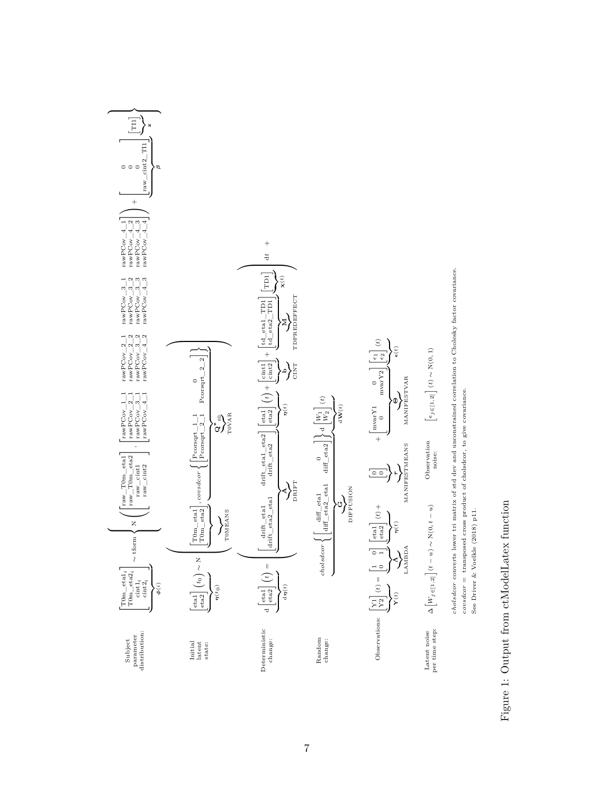<span id="page-6-0"></span>

# Figure 1: Output from ctModelLatex function Figure 1: Output from ctModelLatex function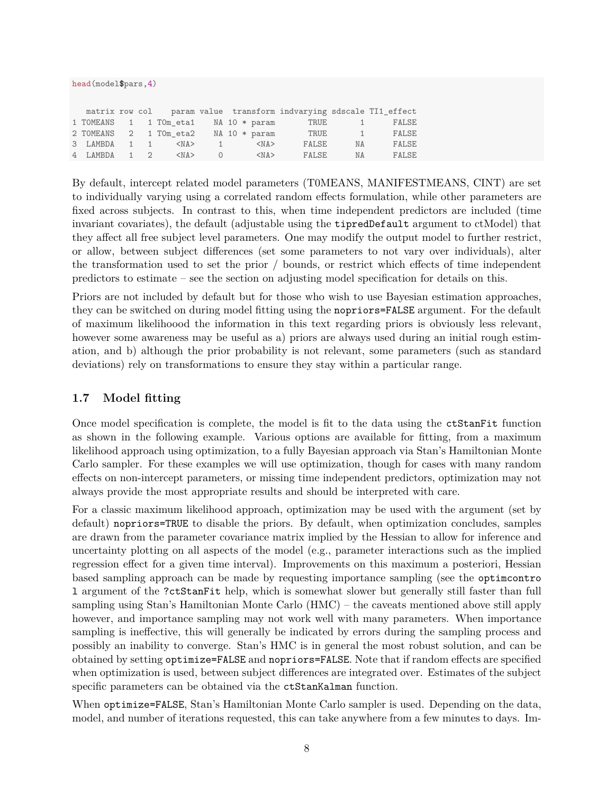```
head(model$pars,4)
```

|              |  |                                      |      |  |  |                   | matrix row col param value transform indvarying sdscale TI1 effect |          |              |
|--------------|--|--------------------------------------|------|--|--|-------------------|--------------------------------------------------------------------|----------|--------------|
|              |  | 1 TOMEANS 1 1 TOm eta1 NA 10 * param |      |  |  |                   | TRUE                                                               | $\sim$ 1 | <b>FALSE</b> |
|              |  | 2 TOMEANS 2 1 TOm eta2               |      |  |  | $NA$ 10 $*$ param | TRUE                                                               | $-1$     | FALSE        |
| 3 LAMBDA 1 1 |  | $<$ NA $>$                           | $-1$ |  |  | $<$ NA $>$        | FALSE                                                              | ΝA       | <b>FALSE</b> |
| 4 LAMBDA 1 2 |  | $<$ NA $>$                           |      |  |  | $<$ NA $>$        | FALSE                                                              | NA       | <b>FALSE</b> |

By default, intercept related model parameters (T0MEANS, MANIFESTMEANS, CINT) are set to individually varying using a correlated random effects formulation, while other parameters are fixed across subjects. In contrast to this, when time independent predictors are included (time invariant covariates), the default (adjustable using the tipredDefault argument to ctModel) that they affect all free subject level parameters. One may modify the output model to further restrict, or allow, between subject differences (set some parameters to not vary over individuals), alter the transformation used to set the prior / bounds, or restrict which effects of time independent predictors to estimate – see the section on adjusting model specification for details on this.

Priors are not included by default but for those who wish to use Bayesian estimation approaches, they can be switched on during model fitting using the nopriors=FALSE argument. For the default of maximum likelihoood the information in this text regarding priors is obviously less relevant, however some awareness may be useful as a) priors are always used during an initial rough estimation, and b) although the prior probability is not relevant, some parameters (such as standard deviations) rely on transformations to ensure they stay within a particular range.

## 1.7 Model fitting

Once model specification is complete, the model is fit to the data using the ctStanFit function as shown in the following example. Various options are available for fitting, from a maximum likelihood approach using optimization, to a fully Bayesian approach via Stan's Hamiltonian Monte Carlo sampler. For these examples we will use optimization, though for cases with many random effects on non-intercept parameters, or missing time independent predictors, optimization may not always provide the most appropriate results and should be interpreted with care.

For a classic maximum likelihood approach, optimization may be used with the argument (set by default) nopriors=TRUE to disable the priors. By default, when optimization concludes, samples are drawn from the parameter covariance matrix implied by the Hessian to allow for inference and uncertainty plotting on all aspects of the model (e.g., parameter interactions such as the implied regression effect for a given time interval). Improvements on this maximum a posteriori, Hessian based sampling approach can be made by requesting importance sampling (see the optimcontro l argument of the ?ctStanFit help, which is somewhat slower but generally still faster than full sampling using Stan's Hamiltonian Monte Carlo  $(HMC)$  – the caveats mentioned above still apply however, and importance sampling may not work well with many parameters. When importance sampling is ineffective, this will generally be indicated by errors during the sampling process and possibly an inability to converge. Stan's HMC is in general the most robust solution, and can be obtained by setting optimize=FALSE and nopriors=FALSE. Note that if random effects are specified when optimization is used, between subject differences are integrated over. Estimates of the subject specific parameters can be obtained via the ctStanKalman function.

When optimize=FALSE, Stan's Hamiltonian Monte Carlo sampler is used. Depending on the data, model, and number of iterations requested, this can take anywhere from a few minutes to days. Im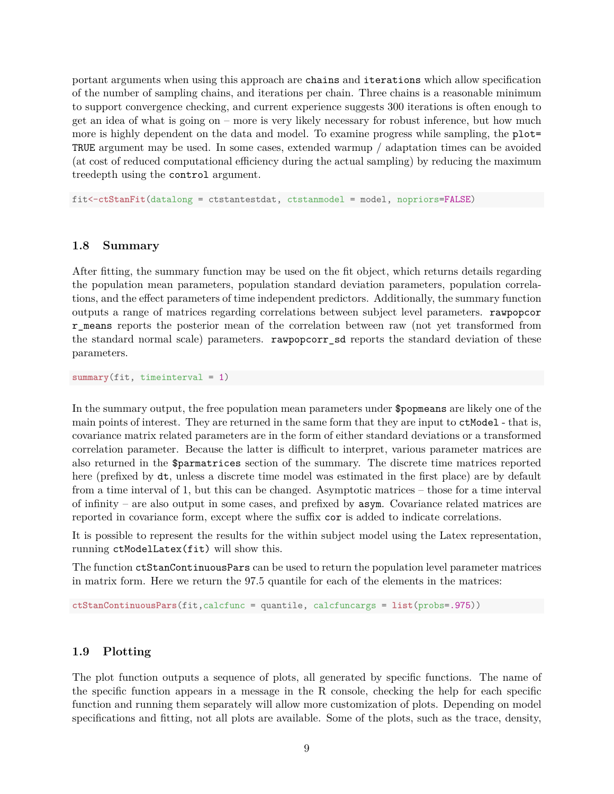portant arguments when using this approach are chains and iterations which allow specification of the number of sampling chains, and iterations per chain. Three chains is a reasonable minimum to support convergence checking, and current experience suggests 300 iterations is often enough to get an idea of what is going on  $-$  more is very likely necessary for robust inference, but how much more is highly dependent on the data and model. To examine progress while sampling, the plot= TRUE argument may be used. In some cases, extended warmup / adaptation times can be avoided (at cost of reduced computational efficiency during the actual sampling) by reducing the maximum treedepth using the control argument.

fit<-**ctStanFit**(datalong = ctstantestdat, ctstanmodel = model, nopriors=FALSE)

#### **1.8 Summary**

After fitting, the summary function may be used on the fit object, which returns details regarding the population mean parameters, population standard deviation parameters, population correlations, and the effect parameters of time independent predictors. Additionally, the summary function outputs a range of matrices regarding correlations between subject level parameters. rawpopcor r\_means reports the posterior mean of the correlation between raw (not yet transformed from the standard normal scale) parameters. rawpopcorr\_sd reports the standard deviation of these parameters.

**summary**(fit, timeinterval = 1)

In the summary output, the free population mean parameters under \$popmeans are likely one of the main points of interest. They are returned in the same form that they are input to ctModel - that is, covariance matrix related parameters are in the form of either standard deviations or a transformed correlation parameter. Because the latter is difficult to interpret, various parameter matrices are also returned in the \$parmatrices section of the summary. The discrete time matrices reported here (prefixed by dt, unless a discrete time model was estimated in the first place) are by default from a time interval of 1, but this can be changed. Asymptotic matrices  $-$  those for a time interval of infinity – are also output in some cases, and prefixed by  $\texttt{asym}$ . Covariance related matrices are reported in covariance form, except where the suffix cor is added to indicate correlations.

It is possible to represent the results for the within subject model using the Latex representation, running ctModelLatex(fit) will show this.

The function ctStanContinuousPars can be used to return the population level parameter matrices in matrix form. Here we return the 97.5 quantile for each of the elements in the matrices:

**ctStanContinuousPars**(fit,calcfunc = quantile, calcfuncargs = **list**(probs=.975))

#### **1.9 Plotting**

The plot function outputs a sequence of plots, all generated by specific functions. The name of the specific function appears in a message in the R console, checking the help for each specific function and running them separately will allow more customization of plots. Depending on model specifications and fitting, not all plots are available. Some of the plots, such as the trace, density,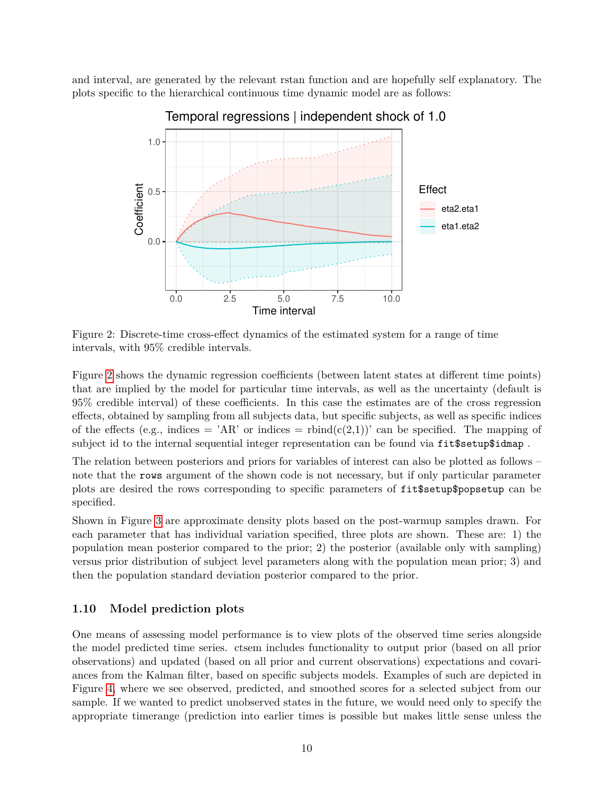<span id="page-9-0"></span>and interval, are generated by the relevant rstan function and are hopefully self explanatory. The plots specific to the hierarchical continuous time dynamic model are as follows:



## Temporal regressions | independent shock of 1.0

Figure 2: Discrete-time cross-effect dynamics of the estimated system for a range of time intervals, with 95% credible intervals.

Figure [2](#page-9-0) shows the dynamic regression coefficients (between latent states at different time points) that are implied by the model for particular time intervals, as well as the uncertainty (default is 95% credible interval) of these coefficients. In this case the estimates are of the cross regression effects, obtained by sampling from all subjects data, but specific subjects, as well as specific indices of the effects (e.g., indices =  $AR$ ) or indices = rbind(c(2,1)) can be specified. The mapping of subject id to the internal sequential integer representation can be found via fit\$setup\$idmap.

The relation between posteriors and priors for variables of interest can also be plotted as follows – note that the rows argument of the shown code is not necessary, but if only particular parameter plots are desired the rows corresponding to specific parameters of fit\$setup\$popsetup can be specified.

Shown in Figure [3](#page-10-0) are approximate density plots based on the post-warmup samples drawn. For each parameter that has individual variation specified, three plots are shown. These are: 1) the population mean posterior compared to the prior; 2) the posterior (available only with sampling) versus prior distribution of subject level parameters along with the population mean prior; 3) and then the population standard deviation posterior compared to the prior.

#### **1.10 Model prediction plots**

One means of assessing model performance is to view plots of the observed time series alongside the model predicted time series. ctsem includes functionality to output prior (based on all prior observations) and updated (based on all prior and current observations) expectations and covariances from the Kalman filter, based on specific subjects models. Examples of such are depicted in Figure [4,](#page-11-0) where we see observed, predicted, and smoothed scores for a selected subject from our sample. If we wanted to predict unobserved states in the future, we would need only to specify the appropriate timerange (prediction into earlier times is possible but makes little sense unless the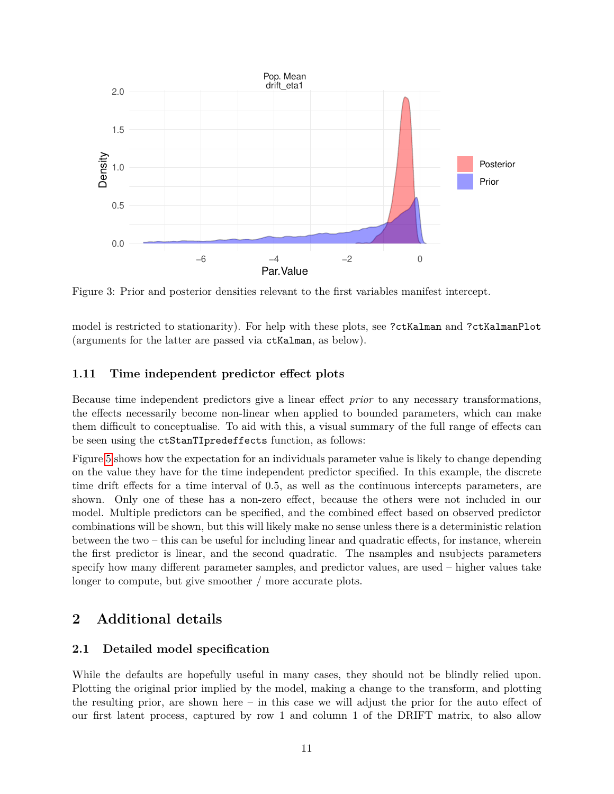<span id="page-10-0"></span>

Figure 3: Prior and posterior densities relevant to the first variables manifest intercept.

model is restricted to stationarity). For help with these plots, see ?ctKalman and ?ctKalmanPlot (arguments for the latter are passed via ctKalman, as below).

## **1.11 Time independent predictor effect plots**

Because time independent predictors give a linear effect *prior* to any necessary transformations, the effects necessarily become non-linear when applied to bounded parameters, which can make them difficult to conceptualise. To aid with this, a visual summary of the full range of effects can be seen using the ctStanTIpredeffects function, as follows:

Figure [5](#page-11-1) shows how the expectation for an individuals parameter value is likely to change depending on the value they have for the time independent predictor specified. In this example, the discrete time drift effects for a time interval of 0.5, as well as the continuous intercepts parameters, are shown. Only one of these has a non-zero effect, because the others were not included in our model. Multiple predictors can be specified, and the combined effect based on observed predictor combinations will be shown, but this will likely make no sense unless there is a deterministic relation between the two  $-$  this can be useful for including linear and quadratic effects, for instance, wherein the first predictor is linear, and the second quadratic. The namples and nsubjects parameters specify how many different parameter samples, and predictor values, are used – higher values take longer to compute, but give smoother / more accurate plots.

# **2 Additional details**

## **2.1** Detailed model specification

While the defaults are hopefully useful in many cases, they should not be blindly relied upon. Plotting the original prior implied by the model, making a change to the transform, and plotting the resulting prior, are shown here  $-$  in this case we will adjust the prior for the auto effect of our first latent process, captured by row 1 and column 1 of the DRIFT matrix, to also allow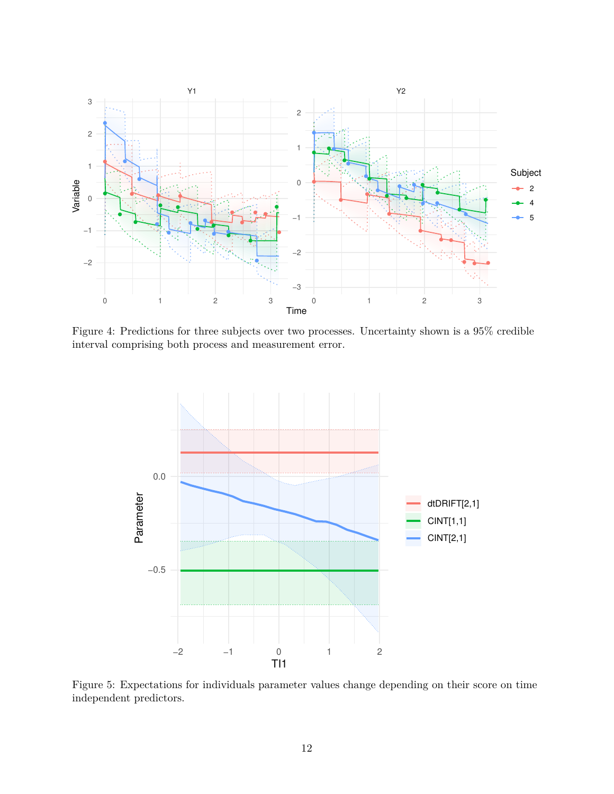<span id="page-11-0"></span>

Figure 4: Predictions for three subjects over two processes. Uncertainty shown is a 95% credible interval comprising both process and measurement error.

<span id="page-11-1"></span>

Figure 5: Expectations for individuals parameter values change depending on their score on time independent predictors.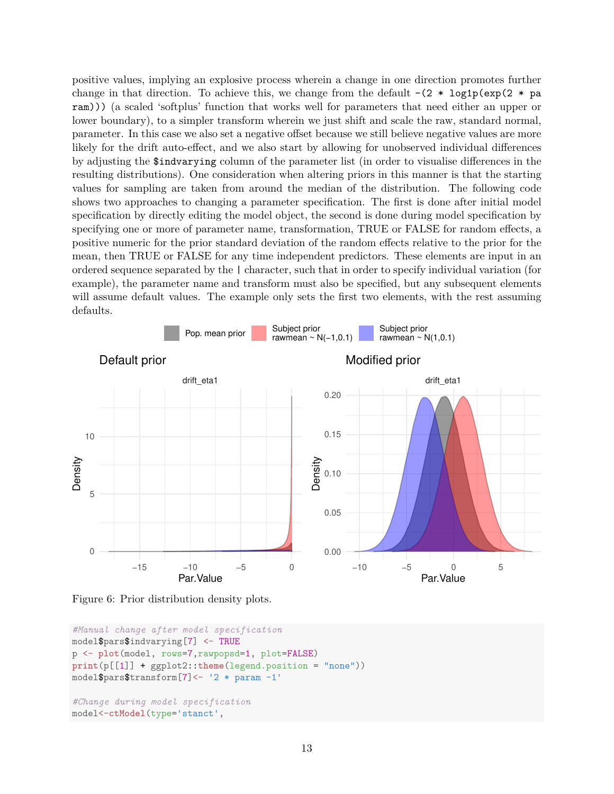positive values, implying an explosive process wherein a change in one direction promotes further change in that direction. To achieve this, we change from the default  $-(2 * log1p(exp(2 * pa))$ ram))) (a scaled 'softplus' function that works well for parameters that need either an upper or lower boundary), to a simpler transform wherein we just shift and scale the raw, standard normal, parameter. In this case we also set a negative offset because we still believe negative values are more likely for the drift auto-effect, and we also start by allowing for unobserved individual differences by adjusting the \$indvarying column of the parameter list (in order to visualise differences in the resulting distributions). One consideration when altering priors in this manner is that the starting values for sampling are taken from around the median of the distribution. The following code shows two approaches to changing a parameter specification. The first is done after initial model specification by directly editing the model object, the second is done during model specification by specifying one or more of parameter name, transformation, TRUE or FALSE for random effects, a positive numeric for the prior standard deviation of the random effects relative to the prior for the mean, then TRUE or FALSE for any time independent predictors. These elements are input in an ordered sequence separated by the | character, such that in order to specify individual variation (for example), the parameter name and transform must also be specified, but any subsequent elements will assume default values. The example only sets the first two elements, with the rest assuming defaults.

<span id="page-12-0"></span>

Figure 6: Prior distribution density plots.

```
#Manual change after model specification
model$pars$indvarying[7] <- TRUE
p <- plot(model, rows=7,rawpopsd=1, plot=FALSE)
print(p[[1]] + ggplot2::theme(legend.position = "none"))
model$pars$transform[7]<- '2 * param -1'
#Change during model specification
model<-ctModel(type='stanct',
```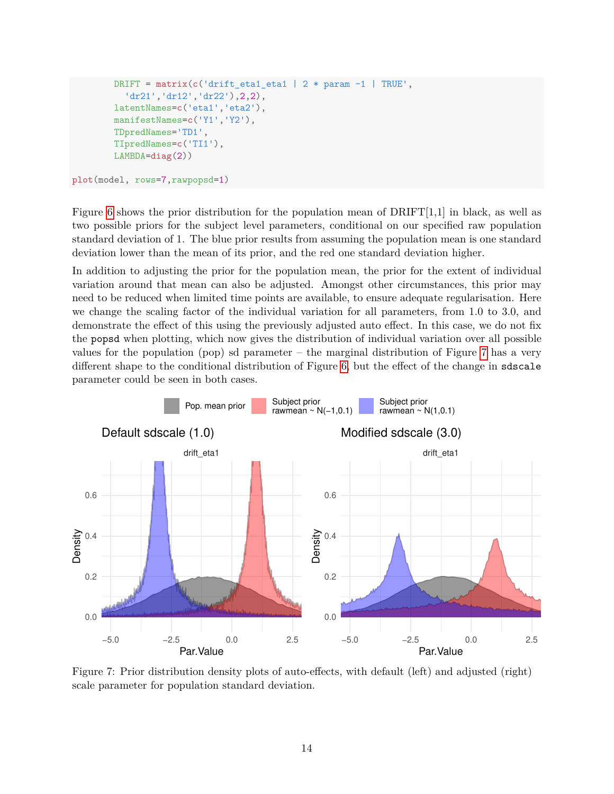```
DRIFT = matrix(c('drift eta1 eta1 | 2 * param -1 | TRUE','dr21','dr12','dr22'),2,2),
latentNames=c('eta1','eta2'),
manifestNames=c('Y1','Y2'),
TDpredNames='TD1',
TIpredNames=c('TI1'),
LAMBDA=diag(2))
```

```
plot(model, rows=7,rawpopsd=1)
```
Figure [6](#page-12-0) shows the prior distribution for the population mean of  $DRIFT[1,1]$  in black, as well as two possible priors for the subject level parameters, conditional on our specified raw population standard deviation of 1. The blue prior results from assuming the population mean is one standard deviation lower than the mean of its prior, and the red one standard deviation higher.

In addition to adjusting the prior for the population mean, the prior for the extent of individual variation around that mean can also be adjusted. Amongst other circumstances, this prior may need to be reduced when limited time points are available, to ensure adequate regularisation. Here we change the scaling factor of the individual variation for all parameters, from 1.0 to 3.0, and demonstrate the effect of this using the previously adjusted auto effect. In this case, we do not fix the popsd when plotting, which now gives the distribution of individual variation over all possible values for the population (pop) sd parameter  $-$  the marginal distribution of Figure [7](#page-13-0) has a very different shape to the conditional distribution of Figure [6,](#page-12-0) but the effect of the change in sdscale parameter could be seen in both cases.

<span id="page-13-0"></span>

Figure 7: Prior distribution density plots of auto-effects, with default (left) and adjusted (right) scale parameter for population standard deviation.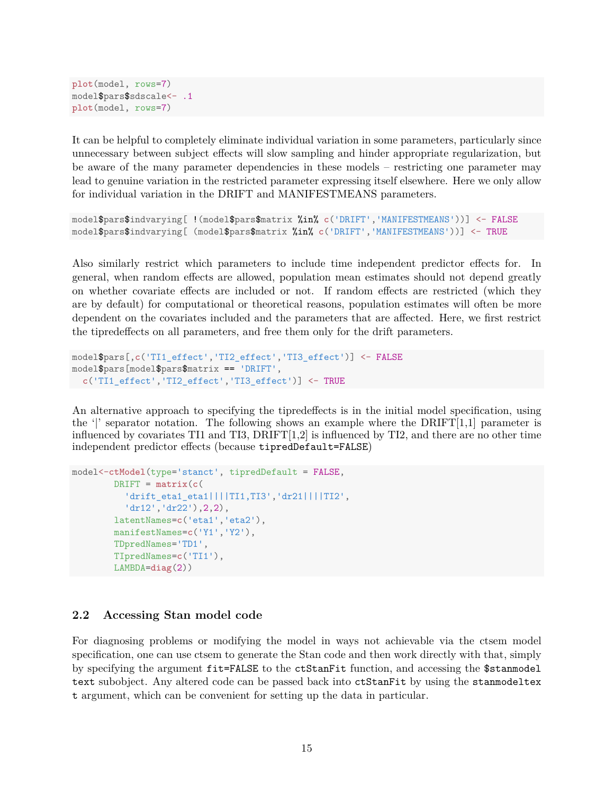```
plot(model, rows=7)
model$pars$sdscale<- .1
plot(model, rows=7)
```
It can be helpful to completely eliminate individual variation in some parameters, particularly since unnecessary between subject effects will slow sampling and hinder appropriate regularization, but be aware of the many parameter dependencies in these models  $-$  restricting one parameter may lead to genuine variation in the restricted parameter expressing itself elsewhere. Here we only allow for individual variation in the DRIFT and MANIFESTMEANS parameters.

```
model$pars$indvarying[ !(model$pars$matrix %in% c('DRIFT','MANIFESTMEANS'))] <- FALSE
model$pars$indvarying[ (model$pars$matrix %in% c('DRIFT','MANIFESTMEANS'))] <- TRUE
```
Also similarly restrict which parameters to include time independent predictor effects for. In general, when random effects are allowed, population mean estimates should not depend greatly on whether covariate effects are included or not. If random effects are restricted (which they are by default) for computational or theoretical reasons, population estimates will often be more dependent on the covariates included and the parameters that are affected. Here, we first restrict the tipredeffects on all parameters, and free them only for the drift parameters.

```
model$pars[,c('TI1_effect','TI2_effect','TI3_effect')] <- FALSE
model$pars[model$pars$matrix == 'DRIFT',
c('TI1_effect','TI2_effect','TI3_effect')] <- TRUE
```
An alternative approach to specifying the tipredeffects is in the initial model specification, using the  $\gamma$  separator notation. The following shows an example where the DRIFT[1,1] parameter is influenced by covariates TI1 and TI3,  $DRIFT[1,2]$  is influenced by TI2, and there are no other time independent predictor effects (because tipredDefault=FALSE)

```
model<-ctModel(type='stanct', tipredDefault = FALSE,
        DRIFT = matrix(c()'drift_eta1_eta1||||TI1,TI3','dr21||||TI2',
          'dr12','dr22'),2,2),
        latentNames=c('eta1','eta2'),
        manifestNames=c('Y1','Y2'),
        TDpredNames='TD1',
        TIpredNames=c('TI1'),
        LAMBDA=diag(2))
```
#### **2.2 Accessing Stan model code**

For diagnosing problems or modifying the model in ways not achievable via the ctsem model specification, one can use ctsem to generate the Stan code and then work directly with that, simply by specifying the argument fit=FALSE to the ctStanFit function, and accessing the \$stanmodel text subobject. Any altered code can be passed back into ctStanFit by using the stanmodeltex t argument, which can be convenient for setting up the data in particular.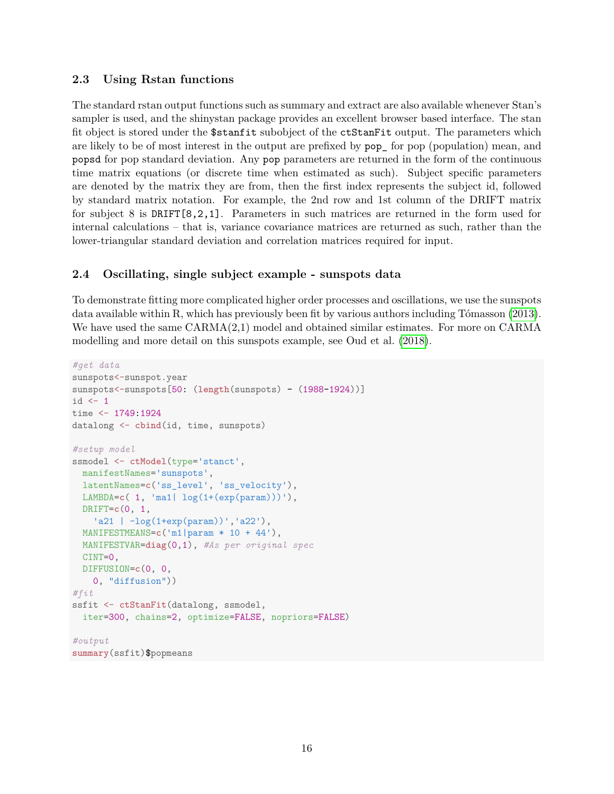## **2.3 Using Rstan functions**

The standard rstan output functions such as summary and extract are also available whenever Stan's sampler is used, and the shinystan package provides an excellent browser based interface. The stan fit object is stored under the \$stanfit subobject of the ctStanFit output. The parameters which are likely to be of most interest in the output are prefixed by  $pop_0$  for pop (population) mean, and popsd for pop standard deviation. Any pop parameters are returned in the form of the continuous time matrix equations (or discrete time when estimated as such). Subject specific parameters are denoted by the matrix they are from, then the first index represents the subject id, followed by standard matrix notation. For example, the 2nd row and 1st column of the DRIFT matrix for subject 8 is DRIFT[8,2,1]. Parameters in such matrices are returned in the form used for internal calculations  $-$  that is, variance covariance matrices are returned as such, rather than the lower-triangular standard deviation and correlation matrices required for input.

## **2.4 Oscillating, single subject example - sunspots data**

To demonstrate fitting more complicated higher order processes and oscillations, we use the sunspots data available within R, which has previously been fit by various authors including Tómasson  $(2013)$ . We have used the same CARMA(2,1) model and obtained similar estimates. For more on CARMA modelling and more detail on this sunspots example, see Oud et al. [\(2018\)](#page-21-6).

```
#get data
sunspots<-sunspot.year
sunspots<-sunspots[50: (length(sunspots) - (1988-1924))]
id \leftarrow 1time <- 1749:1924
datalong <- cbind(id, time, sunspots)
#setup model
ssmodel <- ctModel(type='stanct',
  manifestNames='sunspots',
 latentNames=c('ss_level', 'ss_velocity'),
  LAMBDA=c( 1, 'ma1| log(1+(exp(param)))'),
 DRIFT=c(0, 1,
   \lceil \cdot 21 \rceil - \log(1 + \exp(\text{param}))', \lceil 22' \rceil,
  MANIFESTMEANS=c('m1|param * 10 + 44'),
  MANIFESTVAR=diag(0,1), #As per original spec
  CINT=0,
  DIFFUSION=c(0, 0,
    0, "diffusion"))
#fit
ssfit <- ctStanFit(datalong, ssmodel,
  iter=300, chains=2, optimize=FALSE, nopriors=FALSE)
#output
summary(ssfit)$popmeans
```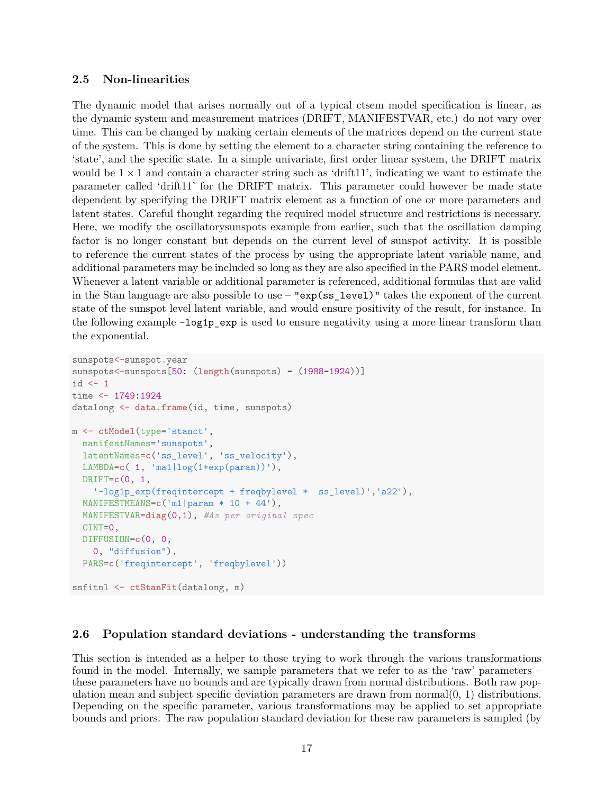## **2.5 Non-linearities**

The dynamic model that arises normally out of a typical ctsem model specification is linear, as the dynamic system and measurement matrices (DRIFT, MANIFESTVAR, etc.) do not vary over time. This can be changed by making certain elements of the matrices depend on the current state of the system. This is done by setting the element to a character string containing the reference to 'state', and the specific state. In a simple univariate, first order linear system, the DRIFT matrix would be  $1 \times 1$  and contain a character string such as 'drift11', indicating we want to estimate the parameter called 'drift11' for the DRIFT matrix. This parameter could however be made state dependent by specifying the DRIFT matrix element as a function of one or more parameters and latent states. Careful thought regarding the required model structure and restrictions is necessary. Here, we modify the oscillatorysunspots example from earlier, such that the oscillation damping factor is no longer constant but depends on the current level of sunspot activity. It is possible to reference the current states of the process by using the appropriate latent variable name, and additional parameters may be included so long as they are also specified in the PARS model element. Whenever a latent variable or additional parameter is referenced, additional formulas that are valid in the Stan language are also possible to use  $-$  "exp(ss\_level)" takes the exponent of the current state of the sunspot level latent variable, and would ensure positivity of the result, for instance. In the following example  $-\log 1p$  exp is used to ensure negativity using a more linear transform than the exponential.

```
sunspots<-sunspot.year
sunspots<-sunspots<sup>[50: (length(sunspots) - (1988-1924))]</sup>
id \leftarrow 1
time <- 1749:1924
datalong <- data.frame(id, time, sunspots)
m <- ctModel(type='stanct',
  manifestNames='sunspots',
  latentNames=c('ss_level', 'ss_velocity'),
  LAMBDA=c( 1, 'maillog(1+exp(param))),
  DRIFT=c(0, 1,
    '-log1p_exp(freqintercept + freqbylevel * ss_level)','a22'),
  MANIFESTMEANS=c('m1|param * 10 + 44'),
  MANIFESTVAR=diag(0,1), #As per original spec
  CINT=0,
  DIFFUSION=c(0, 0,
    0, "diffusion"),
  PARS=c('freqintercept', 'freqbylevel'))
ssfitnl <- ctStanFit(datalong, m)
```
## **2.6 Population standard deviations - understanding the transforms**

This section is intended as a helper to those trying to work through the various transformations found in the model. Internally, we sample parameters that we refer to as the 'raw' parameters  $$ these parameters have no bounds and are typically drawn from normal distributions. Both raw population mean and subject specific deviation parameters are drawn from normal $(0, 1)$  distributions. Depending on the specific parameter, various transformations may be applied to set appropriate bounds and priors. The raw population standard deviation for these raw parameters is sampled (by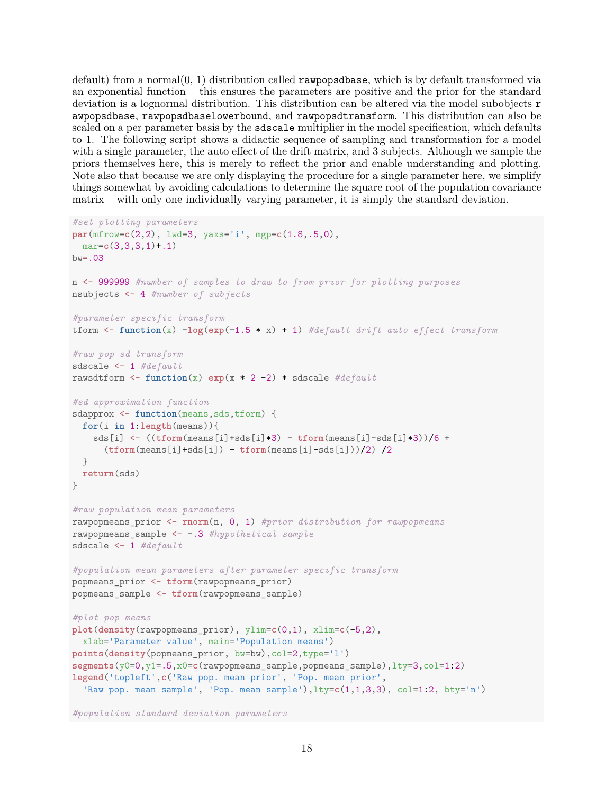default) from a normal $(0, 1)$  distribution called **rawpopsdbase**, which is by default transformed via an exponential function  $-$  this ensures the parameters are positive and the prior for the standard deviation is a lognormal distribution. This distribution can be altered via the model subobjects r awpopsdbase, rawpopsdbaselowerbound, and rawpopsdtransform. This distribution can also be scaled on a per parameter basis by the sdscale multiplier in the model specification, which defaults to 1. The following script shows a didactic sequence of sampling and transformation for a model with a single parameter, the auto effect of the drift matrix, and 3 subjects. Although we sample the priors themselves here, this is merely to reflect the prior and enable understanding and plotting. Note also that because we are only displaying the procedure for a single parameter here, we simplify things somewhat by avoiding calculations to determine the square root of the population covariance  $\text{matrix} - \text{with only one individually varying parameter, it is simply the standard deviation.}$ 

```
#set plotting parameters
par(mfrow=c(2,2), lwd=3, yaxs='i', mgp=c(1.8,.5,0),
 mar=c(3,3,3,1)+.1)
bw = .03n <- 999999 #number of samples to draw to from prior for plotting purposes
nsubjects <- 4 #number of subjects
#parameter specific transform
tform <- function(x) -log(exp(-1.5 * x) + 1) #default drift auto effect transform
#raw pop sd transform
sdscale <- 1 #default
rawsdtform <- function(x) exp(x * 2 -2) * sdscale #default
#sd approximation function
sdapprox \leq function(means, sds, tform) {
 for(i in 1:length(means)){
   sds[i] <- ((tform(means[i]+sds[i]*3) - tform(means[i]-sds[i]*3))/6 +
      (tform(means[i]+sds[i]) - tform(means[i]-sds[i]))/2) /2
 }
 return(sds)
}
#raw population mean parameters
rawpopmeans_prior <- rnorm(n, 0, 1) #prior distribution for rawpopmeans
rawpopmeans_sample <- -.3 #hypothetical sample
sdscale <- 1 #default
#population mean parameters after parameter specific transform
popmeans_prior <- tform(rawpopmeans_prior)
popmeans_sample <- tform(rawpopmeans_sample)
#plot pop means
plot(density(rawpopmeans_prior), ylim=c(0,1), xlim=c(-5,2),
 xlab='Parameter value', main='Population means')
points(density(popmeans_prior, bw=bw),col=2,type='l')
segments(y0=0,y1=.5,x0=c(rawpopmeans_sample,popmeans_sample),lty=3,col=1:2)
legend('topleft',c('Raw pop. mean prior', 'Pop. mean prior',
  'Raw pop. mean sample', 'Pop. mean sample'),lty=c(1,1,3,3), col=1:2, bty='n')
```

```
#population standard deviation parameters
```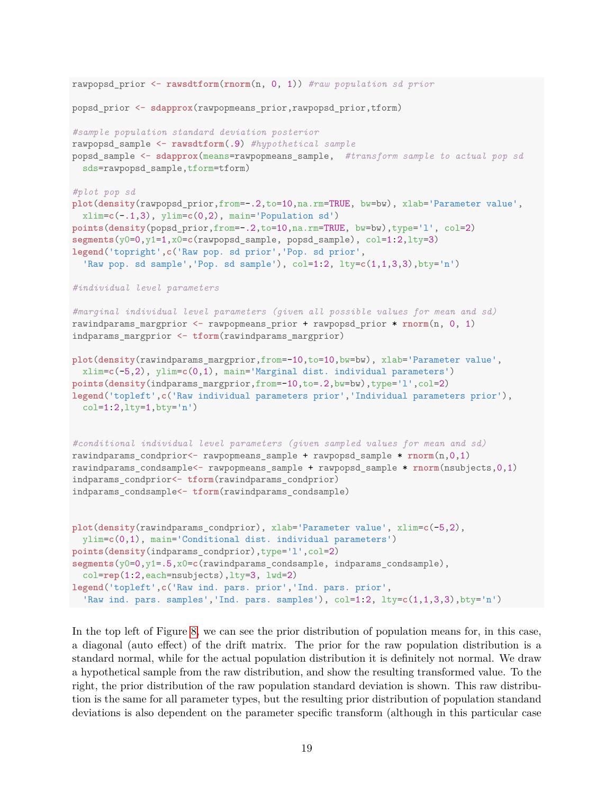```
rawpopsd_prior <- rawsdtform(rnorm(n, 0, 1)) #raw population sd prior
popsd_prior <- sdapprox(rawpopmeans_prior,rawpopsd_prior,tform)
#sample population standard deviation posterior
rawpopsd_sample <- rawsdtform(.9) #hypothetical sample
popsd_sample <- sdapprox(means=rawpopmeans_sample, #transform sample to actual pop sd
 sds=rawpopsd_sample,tform=tform)
#plot pop sd
plot(density(rawpopsd_prior,from=-.2,to=10,na.rm=TRUE, bw=bw), xlab='Parameter value',
  xlim=c(-.1,3), ylim=c(0,2), main='Population sd')
points(density(popsd_prior,from=-.2,to=10,na.rm=TRUE, bw=bw),type='l', col=2)
segments(y0=0,y1=1,x0=c(rawpopsd_sample, popsd_sample), col=1:2,lty=3)
legend('topright',c('Raw pop. sd prior','Pop. sd prior',
  'Raw pop. sd sample','Pop. sd sample'), col=1:2, lty=c(1,1,3,3),bty='n')
#individual level parameters
#marginal individual level parameters (given all possible values for mean and sd)
rawindparams_margprior <- rawpopmeans_prior + rawpopsd_prior * rnorm(n, 0, 1)
indparams_margprior <- tform(rawindparams_margprior)
plot(density(rawindparams_margprior,from=-10,to=10,bw=bw), xlab='Parameter value',
 xlim=c(-5,2), ylim=c(0,1), main='Marginal dist. individual parameters')
points(density(indparams_margprior,from=-10,to=.2,bw=bw),type='l',col=2)
legend('topleft',c('Raw individual parameters prior','Individual parameters prior'),
  col=1:2,lty=1,bty='n')
#conditional individual level parameters (given sampled values for mean and sd)
rawindparams_condprior<- rawpopmeans_sample + rawpopsd_sample * rnorm(n,0,1)
rawindparams_condsample<- rawpopmeans_sample + rawpopsd_sample * rnorm(nsubjects,0,1)
indparams_condprior<- tform(rawindparams_condprior)
indparams_condsample<- tform(rawindparams_condsample)
plot(density(rawindparams_condprior), xlab='Parameter value', xlim=c(-5,2),
 ylim=c(0,1), main='Conditional dist. individual parameters')
points(density(indparams_condprior),type='l',col=2)
segments(y0=0,y1=.5,x0=c(rawindparams_condsample, indparams_condsample),
 col=rep(1:2,each=nsubjects),lty=3, lwd=2)
legend('topleft',c('Raw ind. pars. prior','Ind. pars. prior',
 'Raw ind. pars. samples','Ind. pars. samples'), col=1:2, lty=c(1,1,3,3),bty='n')
```
In the top left of Figure [8,](#page-19-0) we can see the prior distribution of population means for, in this case, a diagonal (auto effect) of the drift matrix. The prior for the raw population distribution is a standard normal, while for the actual population distribution it is definitely not normal. We draw a hypothetical sample from the raw distribution, and show the resulting transformed value. To the right, the prior distribution of the raw population standard deviation is shown. This raw distribution is the same for all parameter types, but the resulting prior distribution of population standand deviations is also dependent on the parameter specific transform (although in this particular case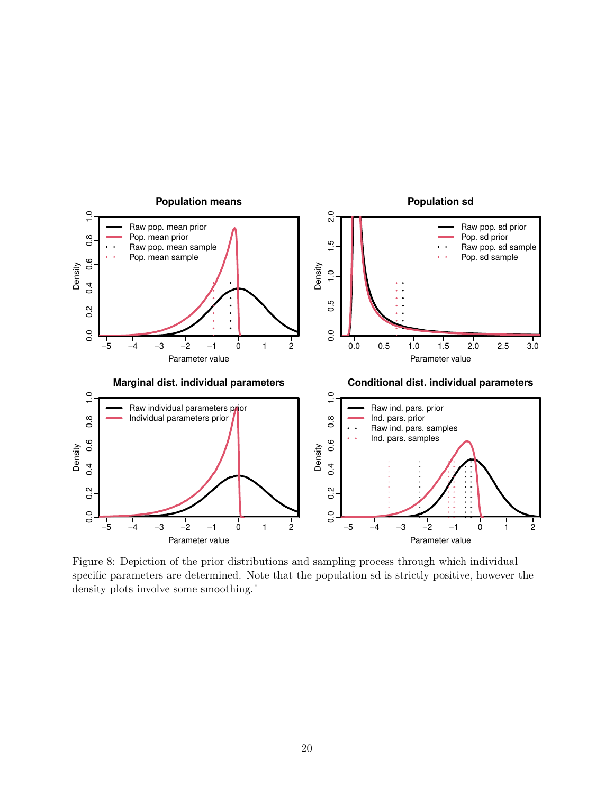<span id="page-19-0"></span>

Figure 8: Depiction of the prior distributions and sampling process through which individual specific parameters are determined. Note that the population sd is strictly positive, however the density plots involve some smoothing."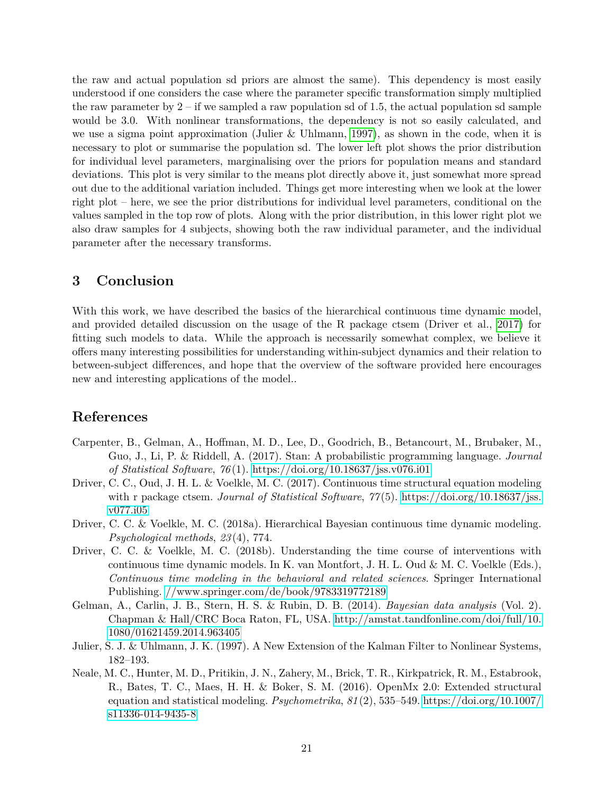the raw and actual population sd priors are almost the same). This dependency is most easily understood if one considers the case where the parameter specific transformation simply multiplied the raw parameter by  $2 - if$  we sampled a raw population sd of 1.5, the actual population sd sample would be 3.0. With nonlinear transformations, the dependency is not so easily calculated, and we use a sigma point approximation (Julier & Uhlmann, [1997\)](#page-20-6), as shown in the code, when it is necessary to plot or summarise the population sd. The lower left plot shows the prior distribution for individual level parameters, marginalising over the priors for population means and standard deviations. This plot is very similar to the means plot directly above it, just somewhat more spread out due to the additional variation included. Things get more interesting when we look at the lower right plot – here, we see the prior distributions for individual level parameters, conditional on the values sampled in the top row of plots. Along with the prior distribution, in this lower right plot we also draw samples for 4 subjects, showing both the raw individual parameter, and the individual parameter after the necessary transforms.

# **3 Conclusion**

With this work, we have described the basics of the hierarchical continuous time dynamic model, and provided detailed discussion on the usage of the R package ctsem (Driver et al., [2017\)](#page-20-3) for fitting such models to data. While the approach is necessarily somewhat complex, we believe it offers many interesting possibilities for understanding within-subject dynamics and their relation to between-subject differences, and hope that the overview of the software provided here encourages new and interesting applications of the model..

# **References**

- <span id="page-20-2"></span>Carpenter, B., Gelman, A., Hoffman, M. D., Lee, D., Goodrich, B., Betancourt, M., Brubaker, M., Guo, J., Li, P. & Riddell, A. (2017). Stan: A probabilistic programming language. *Journal of Statistical Software*, *76* (1).<https://doi.org/10.18637/jss.v076.i01>
- <span id="page-20-3"></span>Driver, C. C., Oud, J. H. L. & Voelkle, M. C. (2017). Continuous time structural equation modeling with r package ctsem. *Journal of Statistical Software*, *77* (5). [https://doi.org/10.18637/jss.](https://doi.org/10.18637/jss.v077.i05) [v077.i05](https://doi.org/10.18637/jss.v077.i05)
- <span id="page-20-0"></span>Driver, C. C. & Voelkle, M. C. (2018a). Hierarchical Bayesian continuous time dynamic modeling. *Psychological methods*, *23* (4), 774.
- <span id="page-20-5"></span>Driver, C. C. & Voelkle, M. C. (2018b). Understanding the time course of interventions with continuous time dynamic models. In K. van Montfort, J. H. L. Oud & M. C. Voelkle (Eds.), *Continuous time modeling in the behavioral and related sciences*. Springer International Publishing.<//www.springer.com/de/book/9783319772189>
- <span id="page-20-4"></span>Gelman, A., Carlin, J. B., Stern, H. S. & Rubin, D. B. (2014). *Bayesian data analysis* (Vol. 2). Chapman & Hall/CRC Boca Raton, FL, USA. [http://amstat.tandfonline.com/doi/full/10.](http://amstat.tandfonline.com/doi/full/10.1080/01621459.2014.963405) [1080/01621459.2014.963405](http://amstat.tandfonline.com/doi/full/10.1080/01621459.2014.963405)
- <span id="page-20-6"></span>Julier, S. J. & Uhlmann, J. K. (1997). A New Extension of the Kalman Filter to Nonlinear Systems,  $182 - 193.$
- <span id="page-20-1"></span>Neale, M. C., Hunter, M. D., Pritikin, J. N., Zahery, M., Brick, T. R., Kirkpatrick, R. M., Estabrook, R., Bates, T. C., Maes, H. H. & Boker, S. M. (2016). OpenMx 2.0: Extended structural equation and statistical modeling. *Psychometrika*,  $81(2)$ , 535–549. [https://doi.org/10.1007/](https://doi.org/10.1007/s11336-014-9435-8) [s11336-014-9435-8](https://doi.org/10.1007/s11336-014-9435-8)